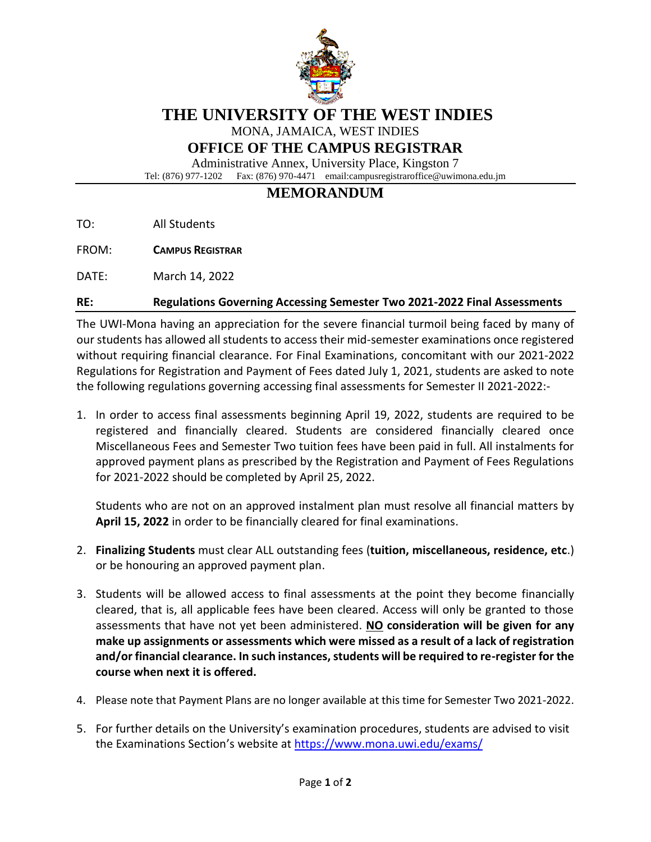

# **THE UNIVERSITY OF THE WEST INDIES**

MONA, JAMAICA, WEST INDIES

## **OFFICE OF THE CAMPUS REGISTRAR**

Administrative Annex, University Place, Kingston 7 Tel: (876) 977-1202 Fax: (876) 970-4471 email:campusregistraroffice@uwimona.edu.jm

# **MEMORANDUM**

TO: All Students

FROM: **CAMPUS REGISTRAR**

DATE: March 14, 2022

#### **RE: Regulations Governing Accessing Semester Two 2021-2022 Final Assessments**

The UWI-Mona having an appreciation for the severe financial turmoil being faced by many of our students has allowed all students to access their mid-semester examinations once registered without requiring financial clearance. For Final Examinations, concomitant with our 2021-2022 Regulations for Registration and Payment of Fees dated July 1, 2021, students are asked to note the following regulations governing accessing final assessments for Semester II 2021-2022:-

1. In order to access final assessments beginning April 19, 2022, students are required to be registered and financially cleared. Students are considered financially cleared once Miscellaneous Fees and Semester Two tuition fees have been paid in full. All instalments for approved payment plans as prescribed by the Registration and Payment of Fees Regulations for 2021-2022 should be completed by April 25, 2022.

Students who are not on an approved instalment plan must resolve all financial matters by **April 15, 2022** in order to be financially cleared for final examinations.

- 2. **Finalizing Students** must clear ALL outstanding fees (**tuition, miscellaneous, residence, etc**.) or be honouring an approved payment plan.
- 3. Students will be allowed access to final assessments at the point they become financially cleared, that is, all applicable fees have been cleared. Access will only be granted to those assessments that have not yet been administered. **NO consideration will be given for any make up assignments or assessments which were missed as a result of a lack of registration and/or financial clearance. In such instances, students will be required to re-register for the course when next it is offered.**
- 4. Please note that Payment Plans are no longer available at this time for Semester Two 2021-2022.
- 5. For further details on the University's examination procedures, students are advised to visit the Examinations Section's website at<https://www.mona.uwi.edu/exams/>